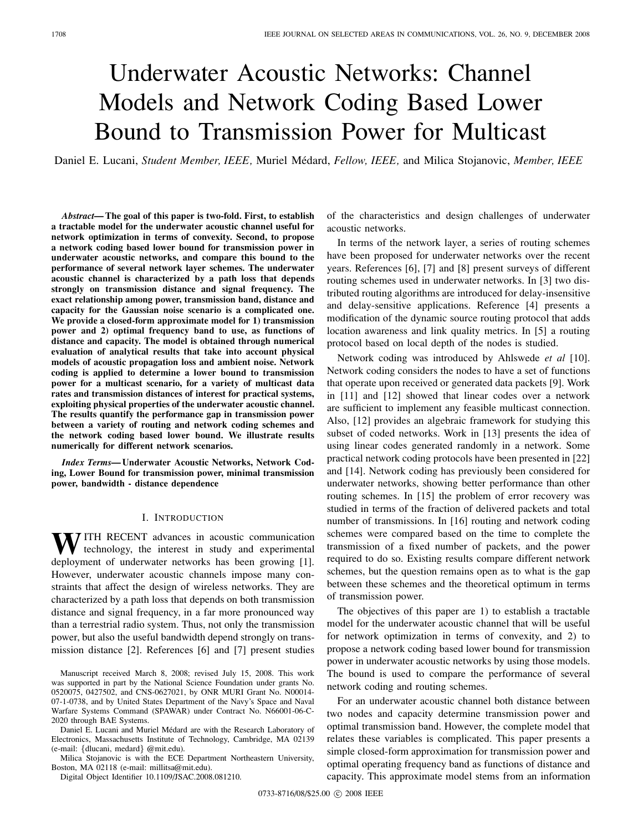# Underwater Acoustic Networks: Channel Models and Network Coding Based Lower Bound to Transmission Power for Multicast

Daniel E. Lucani, *Student Member, IEEE,* Muriel M´edard, *Fellow, IEEE,* and Milica Stojanovic, *Member, IEEE*

*Abstract***— The goal of this paper is two-fold. First, to establish a tractable model for the underwater acoustic channel useful for network optimization in terms of convexity. Second, to propose a network coding based lower bound for transmission power in underwater acoustic networks, and compare this bound to the performance of several network layer schemes. The underwater acoustic channel is characterized by a path loss that depends strongly on transmission distance and signal frequency. The exact relationship among power, transmission band, distance and capacity for the Gaussian noise scenario is a complicated one. We provide a closed-form approximate model for 1) transmission power and 2) optimal frequency band to use, as functions of distance and capacity. The model is obtained through numerical evaluation of analytical results that take into account physical models of acoustic propagation loss and ambient noise. Network coding is applied to determine a lower bound to transmission power for a multicast scenario, for a variety of multicast data rates and transmission distances of interest for practical systems, exploiting physical properties of the underwater acoustic channel. The results quantify the performance gap in transmission power between a variety of routing and network coding schemes and the network coding based lower bound. We illustrate results numerically for different network scenarios.**

*Index Terms***— Underwater Acoustic Networks, Network Coding, Lower Bound for transmission power, minimal transmission power, bandwidth - distance dependence**

# I. INTRODUCTION

WITH RECENT advances in acoustic communication technology, the interest in study and experimental deployment of underwater networks has been growing [1]. However, underwater acoustic channels impose many constraints that affect the design of wireless networks. They are characterized by a path loss that depends on both transmission distance and signal frequency, in a far more pronounced way than a terrestrial radio system. Thus, not only the transmission power, but also the useful bandwidth depend strongly on transmission distance [2]. References [6] and [7] present studies

Daniel E. Lucani and Muriel Médard are with the Research Laboratory of Electronics, Massachusetts Institute of Technology, Cambridge, MA 02139 (e-mail: {dlucani, medard} @mit.edu).

Milica Stojanovic is with the ECE Department Northeastern University, Boston, MA 02118 (e-mail: millitsa@mit.edu).

Digital Object Identifier 10.1109/JSAC.2008.081210.

of the characteristics and design challenges of underwater acoustic networks.

In terms of the network layer, a series of routing schemes have been proposed for underwater networks over the recent years. References [6], [7] and [8] present surveys of different routing schemes used in underwater networks. In [3] two distributed routing algorithms are introduced for delay-insensitive and delay-sensitive applications. Reference [4] presents a modification of the dynamic source routing protocol that adds location awareness and link quality metrics. In [5] a routing protocol based on local depth of the nodes is studied.

Network coding was introduced by Ahlswede *et al* [10]. Network coding considers the nodes to have a set of functions that operate upon received or generated data packets [9]. Work in [11] and [12] showed that linear codes over a network are sufficient to implement any feasible multicast connection. Also, [12] provides an algebraic framework for studying this subset of coded networks. Work in [13] presents the idea of using linear codes generated randomly in a network. Some practical network coding protocols have been presented in [22] and [14]. Network coding has previously been considered for underwater networks, showing better performance than other routing schemes. In [15] the problem of error recovery was studied in terms of the fraction of delivered packets and total number of transmissions. In [16] routing and network coding schemes were compared based on the time to complete the transmission of a fixed number of packets, and the power required to do so. Existing results compare different network schemes, but the question remains open as to what is the gap between these schemes and the theoretical optimum in terms of transmission power.

The objectives of this paper are 1) to establish a tractable model for the underwater acoustic channel that will be useful for network optimization in terms of convexity, and 2) to propose a network coding based lower bound for transmission power in underwater acoustic networks by using those models. The bound is used to compare the performance of several network coding and routing schemes.

For an underwater acoustic channel both distance between two nodes and capacity determine transmission power and optimal transmission band. However, the complete model that relates these variables is complicated. This paper presents a simple closed-form approximation for transmission power and optimal operating frequency band as functions of distance and capacity. This approximate model stems from an information

Manuscript received March 8, 2008; revised July 15, 2008. This work was supported in part by the National Science Foundation under grants No. 0520075, 0427502, and CNS-0627021, by ONR MURI Grant No. N00014- 07-1-0738, and by United States Department of the Navy's Space and Naval Warfare Systems Command (SPAWAR) under Contract No. N66001-06-C-2020 through BAE Systems.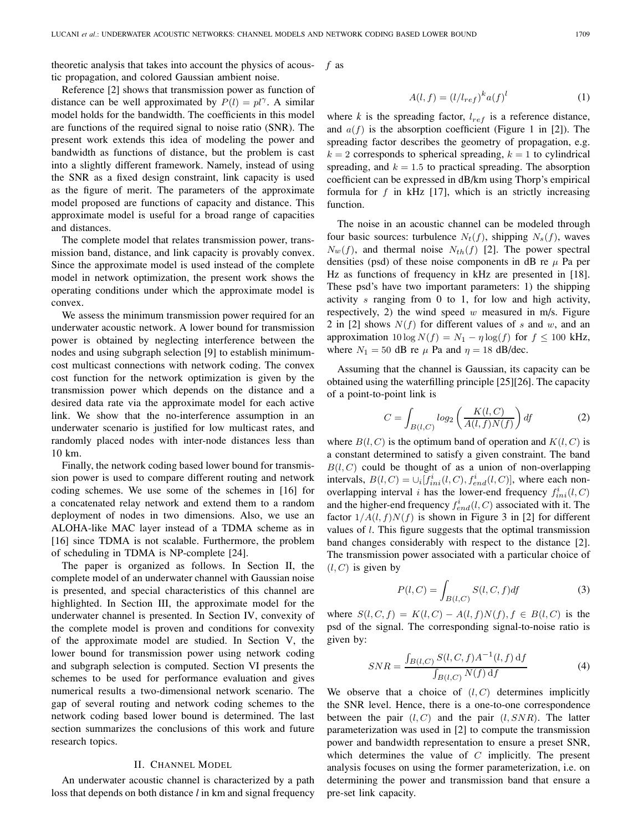theoretic analysis that takes into account the physics of acoustic propagation, and colored Gaussian ambient noise. Reference [2] shows that transmission power as function of

*f* as

$$
A(l,f) = (l/l_{ref})^k a(f)^l \tag{1}
$$

distance can be well approximated by  $P(l) = pl^{\gamma}$ . A similar model holds for the bandwidth. The coefficients in this model are functions of the required signal to noise ratio (SNR). The present work extends this idea of modeling the power and bandwidth as functions of distance, but the problem is cast into a slightly different framework. Namely, instead of using the SNR as a fixed design constraint, link capacity is used as the figure of merit. The parameters of the approximate model proposed are functions of capacity and distance. This approximate model is useful for a broad range of capacities and distances.

The complete model that relates transmission power, transmission band, distance, and link capacity is provably convex. Since the approximate model is used instead of the complete model in network optimization, the present work shows the operating conditions under which the approximate model is convex.

We assess the minimum transmission power required for an underwater acoustic network. A lower bound for transmission power is obtained by neglecting interference between the nodes and using subgraph selection [9] to establish minimumcost multicast connections with network coding. The convex cost function for the network optimization is given by the transmission power which depends on the distance and a desired data rate via the approximate model for each active link. We show that the no-interference assumption in an underwater scenario is justified for low multicast rates, and randomly placed nodes with inter-node distances less than 10 km.

Finally, the network coding based lower bound for transmission power is used to compare different routing and network coding schemes. We use some of the schemes in [16] for a concatenated relay network and extend them to a random deployment of nodes in two dimensions. Also, we use an ALOHA-like MAC layer instead of a TDMA scheme as in [16] since TDMA is not scalable. Furthermore, the problem of scheduling in TDMA is NP-complete [24].

The paper is organized as follows. In Section II, the complete model of an underwater channel with Gaussian noise is presented, and special characteristics of this channel are highlighted. In Section III, the approximate model for the underwater channel is presented. In Section IV, convexity of the complete model is proven and conditions for convexity of the approximate model are studied. In Section V, the lower bound for transmission power using network coding and subgraph selection is computed. Section VI presents the schemes to be used for performance evaluation and gives numerical results a two-dimensional network scenario. The gap of several routing and network coding schemes to the network coding based lower bound is determined. The last section summarizes the conclusions of this work and future research topics.

# II. CHANNEL MODEL

An underwater acoustic channel is characterized by a path loss that depends on both distance *l* in km and signal frequency where  $k$  is the spreading factor,  $l_{ref}$  is a reference distance, and  $a(f)$  is the absorption coefficient (Figure 1 in [2]). The spreading factor describes the geometry of propagation, e.g.  $k = 2$  corresponds to spherical spreading,  $k = 1$  to cylindrical spreading, and  $k = 1.5$  to practical spreading. The absorption coefficient can be expressed in dB/km using Thorp's empirical formula for  $f$  in kHz [17], which is an strictly increasing function.

The noise in an acoustic channel can be modeled through four basic sources: turbulence  $N_t(f)$ , shipping  $N_s(f)$ , waves  $N_w(f)$ , and thermal noise  $N_{th}(f)$  [2]. The power spectral densities (psd) of these noise components in dB re  $\mu$  Pa per Hz as functions of frequency in kHz are presented in [18]. These psd's have two important parameters: 1) the shipping activity s ranging from 0 to 1, for low and high activity, respectively, 2) the wind speed  $w$  measured in m/s. Figure 2 in [2] shows  $N(f)$  for different values of s and w, and an approximation  $10 \log N(f) = N_1 - \eta \log(f)$  for  $f \le 100$  kHz, where  $N_1 = 50$  dB re  $\mu$  Pa and  $\eta = 18$  dB/dec.

Assuming that the channel is Gaussian, its capacity can be obtained using the waterfilling principle [25][26]. The capacity of a point-to-point link is

$$
C = \int_{B(l,C)} log_2\left(\frac{K(l,C)}{A(l,f)N(f)}\right) df
$$
 (2)

where  $B(l, C)$  is the optimum band of operation and  $K(l, C)$  is a constant determined to satisfy a given constraint. The band  $B(l, C)$  could be thought of as a union of non-overlapping intervals,  $B(l, C) = \bigcup_i [f_{ini}^i(l, C), f_{end}^i(l, C)]$ , where each nonoverlapping interval *i* has the lower-end frequency  $f_{ini}^i(l, C)$ and the higher-end frequency  $f_{end}^i(l, C)$  associated with it. The factor  $1/A(l, f)N(f)$  is shown in Figure 3 in [2] for different values of  $l$ . This figure suggests that the optimal transmission band changes considerably with respect to the distance [2]. The transmission power associated with a particular choice of  $(l, C)$  is given by

$$
P(l, C) = \int_{B(l, C)} S(l, C, f) df
$$
 (3)

where  $S(l, C, f) = K(l, C) - A(l, f)N(f), f \in B(l, C)$  is the psd of the signal. The corresponding signal-to-noise ratio is given by:

$$
SNR = \frac{\int_{B(l,C)} S(l,C,f)A^{-1}(l,f) \, df}{\int_{B(l,C)} N(f) \, df}
$$
(4)

We observe that a choice of  $(l, C)$  determines implicitly the SNR level. Hence, there is a one-to-one correspondence between the pair  $(l, C)$  and the pair  $(l, SNR)$ . The latter parameterization was used in [2] to compute the transmission power and bandwidth representation to ensure a preset SNR, which determines the value of  $C$  implicitly. The present analysis focuses on using the former parameterization, i.e. on determining the power and transmission band that ensure a pre-set link capacity.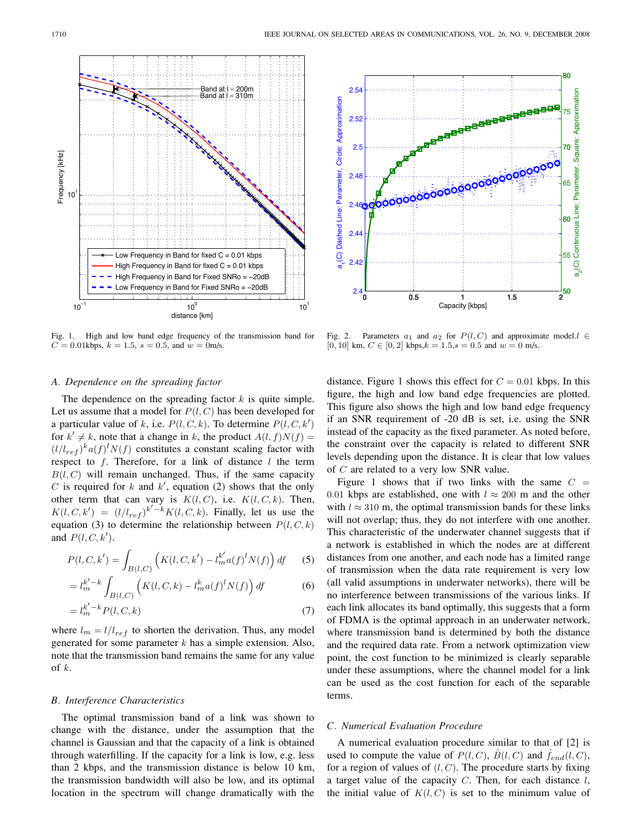

Fig. 1. High and low band edge frequency of the transmission band for  $C = 0.01$ kbps,  $k = 1.5$ ,  $s = 0.5$ , and  $w = 0$ m/s.

### *A. Dependence on the spreading factor*

The dependence on the spreading factor  $k$  is quite simple. Let us assume that a model for  $P(l, C)$  has been developed for a particular value of k, i.e.  $P(l, C, k)$ . To determine  $P(l, C, k')$ for  $k' \neq k$ , note that a change in k, the product  $A(l, f)N(f) =$  $(l/l_{ref})^k a(f)^l N(f)$  constitutes a constant scaling factor with respect to  $f$ . Therefore, for a link of distance  $l$  the term  $B(l, C)$  will remain unchanged. Thus, if the same capacity C is required for  $k$  and  $k'$ , equation (2) shows that the only other term that can vary is  $K(l, C)$ , i.e.  $K(l, C, k)$ . Then,  $K(l, C, k') = (l/l_{ref})^{k'-k} K(l, C, k)$ . Finally, let us use the equation (3) to determine the relationship between  $P(l, C, k)$ and  $P(l, C, k')$ .

$$
P(l, C, k') = \int_{B(l, C)} \left( K(l, C, k') - l_m^{k'} a(f)^l N(f) \right) df \tag{5}
$$

$$
= l_m^{k'-k} \int_{B(l,C)} \left( K(l,C,k) - l_m^k a(f)^l N(f) \right) df \tag{6}
$$

$$
=l_m^{k'-k}P(l,C,k)
$$
\n<sup>(7)</sup>

where  $l_m = l/l_{ref}$  to shorten the derivation. Thus, any model generated for some parameter  $k$  has a simple extension. Also, note that the transmission band remains the same for any value of k.

#### *B. Interference Characteristics*

The optimal transmission band of a link was shown to change with the distance, under the assumption that the channel is Gaussian and that the capacity of a link is obtained through waterfilling. If the capacity for a link is low, e.g. less than 2 kbps, and the transmission distance is below 10 km, the transmission bandwidth will also be low, and its optimal location in the spectrum will change dramatically with the



Fig. 2. Parameters  $a_1$  and  $a_2$  for  $P(l, C)$  and approximate model. $l \in$ [0, 10] km,  $C \in [0, 2]$  kbps, $k = 1.5$ ,  $s = 0.5$  and  $w = 0$  m/s.

distance. Figure 1 shows this effect for  $C = 0.01$  kbps. In this figure, the high and low band edge frequencies are plotted. This figure also shows the high and low band edge frequency if an SNR requirement of -20 dB is set, i.e. using the SNR instead of the capacity as the fixed parameter. As noted before, the constraint over the capacity is related to different SNR levels depending upon the distance. It is clear that low values of C are related to a very low SNR value.

Figure 1 shows that if two links with the same  $C =$ 0.01 kbps are established, one with  $l \approx 200$  m and the other with  $l \approx 310$  m, the optimal transmission bands for these links will not overlap; thus, they do not interfere with one another. This characteristic of the underwater channel suggests that if a network is established in which the nodes are at different distances from one another, and each node has a limited range of transmission when the data rate requirement is very low (all valid assumptions in underwater networks), there will be no interference between transmissions of the various links. If each link allocates its band optimally, this suggests that a form of FDMA is the optimal approach in an underwater network, where transmission band is determined by both the distance and the required data rate. From a network optimization view point, the cost function to be minimized is clearly separable under these assumptions, where the channel model for a link can be used as the cost function for each of the separable terms.

## *C. Numerical Evaluation Procedure*

A numerical evaluation procedure similar to that of [2] is used to compute the value of  $P(l, C)$ ,  $\hat{B}(l, C)$  and  $\hat{f}_{end}(l, C)$ , for a region of values of  $(l, C)$ . The procedure starts by fixing a target value of the capacity  $C$ . Then, for each distance  $l$ , the initial value of  $K(l, C)$  is set to the minimum value of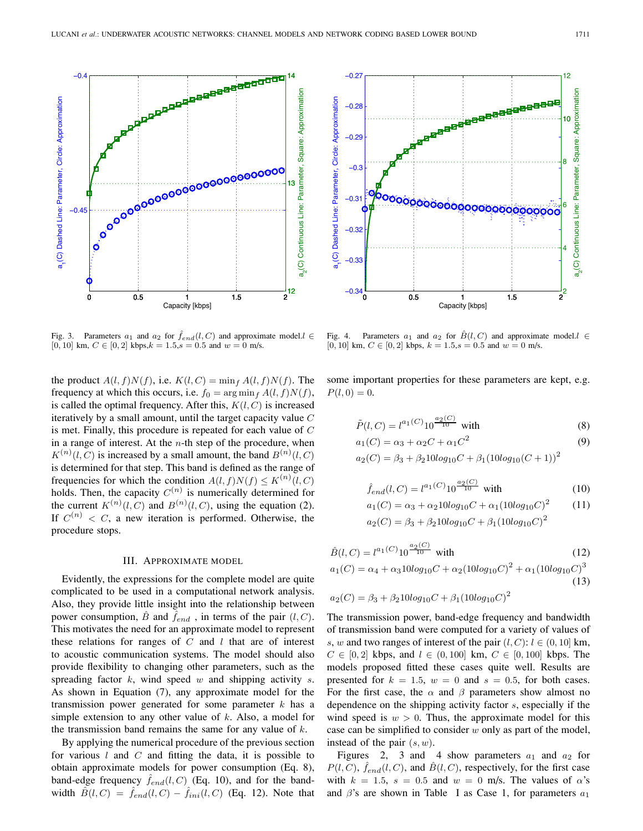

Fig. 3. Parameters  $a_1$  and  $a_2$  for  $\hat{f}_{end}(l, C)$  and approximate model. $l \in$ [0, 10] km,  $C \in [0, 2]$  kbps, $k = 1.5$ ,  $s = 0.5$  and  $w = 0$  m/s.

the product  $A(l, f)N(f)$ , i.e.  $K(l, C) = \min_f A(l, f)N(f)$ . The frequency at which this occurs, i.e.  $f_0 = \arg \min_f A(l, f)N(f)$ , is called the optimal frequency. After this,  $K(l, C)$  is increased iteratively by a small amount, until the target capacity value  $C$ is met. Finally, this procedure is repeated for each value of  $C$ in a range of interest. At the  $n$ -th step of the procedure, when  $K^{(n)}(l, C)$  is increased by a small amount, the band  $B^{(n)}(l, C)$ is determined for that step. This band is defined as the range of frequencies for which the condition  $A(l, f)N(f) \le K^{(n)}(l, C)$ holds. Then, the capacity  $C^{(n)}$  is numerically determined for the current  $K^{(n)}(l, C)$  and  $B^{(n)}(l, C)$ , using the equation (2). If  $C^{(n)} < C$ , a new iteration is performed. Otherwise, the procedure stops.

# III. APPROXIMATE MODEL

Evidently, the expressions for the complete model are quite complicated to be used in a computational network analysis. Also, they provide little insight into the relationship between power consumption,  $\hat{B}$  and  $\hat{f}_{end}$ , in terms of the pair  $(l, C)$ . This motivates the need for an approximate model to represent these relations for ranges of  $C$  and  $l$  that are of interest to acoustic communication systems. The model should also provide flexibility to changing other parameters, such as the spreading factor  $k$ , wind speed  $w$  and shipping activity  $s$ . As shown in Equation (7), any approximate model for the transmission power generated for some parameter  $k$  has a simple extension to any other value of  $k$ . Also, a model for the transmission band remains the same for any value of  $k$ .

By applying the numerical procedure of the previous section for various  $l$  and  $C$  and fitting the data, it is possible to obtain approximate models for power consumption (Eq. 8), band-edge frequency  $f_{end}(l, C)$  (Eq. 10), and for the bandwidth  $\hat{B}(l, C) = \hat{f}_{end}(l, C) - \hat{f}_{ini}(l, C)$  (Eq. 12). Note that



Fig. 4. Parameters  $a_1$  and  $a_2$  for  $\hat{B}(l, C)$  and approximate model. $l \in$ [0, 10] km,  $C \in [0, 2]$  kbps,  $k = 1.5$ ,  $s = 0.5$  and  $w = 0$  m/s.

some important properties for these parameters are kept, e.g.  $P(l, 0) = 0.$ 

$$
\tilde{P}(l, C) = l^{a_1(C)} 10^{\frac{a_2(C)}{10}} \text{ with}
$$
\n(8)

$$
a_1(C) = \alpha_3 + \alpha_2 C + \alpha_1 C^2 \tag{9}
$$

$$
a_2(C) = \beta_3 + \beta_2 10 \log_{10} C + \beta_1 (10 \log_{10} (C + 1))^2
$$

$$
\hat{f}_{end}(l, C) = l^{a_1(C)} 10^{\frac{a_2(C)}{10}} \text{ with}
$$
\n(10)

$$
a_1(C) = \alpha_3 + \alpha_2 10 \log_{10} C + \alpha_1 (10 \log_{10} C)^2 \qquad (11)
$$
  
\n
$$
a_2(C) = \beta_3 + \beta_2 10 \log_{10} C + \beta_1 (10 \log_{10} C)^2
$$

$$
\hat{B}(l, C) = l^{a_1(C)} 10^{\frac{a_2(C)}{10}} \text{ with}
$$
\n
$$
a_1(C) = \alpha_4 + \alpha_3 10 \log_{10} C + \alpha_2 (10 \log_{10} C)^2 + \alpha_1 (10 \log_{10} C)^3
$$
\n(12)

$$
(13)
$$

$$
a_2(C) = \beta_3 + \beta_2 10 \log_{10} C + \beta_1 (10 \log_{10} C)^2
$$

The transmission power, band-edge frequency and bandwidth of transmission band were computed for a variety of values of s, w and two ranges of interest of the pair  $(l, C)$ :  $l \in (0, 10]$  km,  $C \in [0, 2]$  kbps, and  $l \in (0, 100]$  km,  $C \in [0, 100]$  kbps. The models proposed fitted these cases quite well. Results are presented for  $k = 1.5$ ,  $w = 0$  and  $s = 0.5$ , for both cases. For the first case, the  $\alpha$  and  $\beta$  parameters show almost no dependence on the shipping activity factor s, especially if the wind speed is  $w > 0$ . Thus, the approximate model for this case can be simplified to consider  $w$  only as part of the model, instead of the pair  $(s, w)$ .

Figures 2, 3 and 4 show parameters  $a_1$  and  $a_2$  for  $P(l, C)$ ,  $\hat{f}_{end}(l, C)$ , and  $\hat{B}(l, C)$ , respectively, for the first case with  $k = 1.5$ ,  $s = 0.5$  and  $w = 0$  m/s. The values of  $\alpha$ 's and  $\beta$ 's are shown in Table I as Case 1, for parameters  $a_1$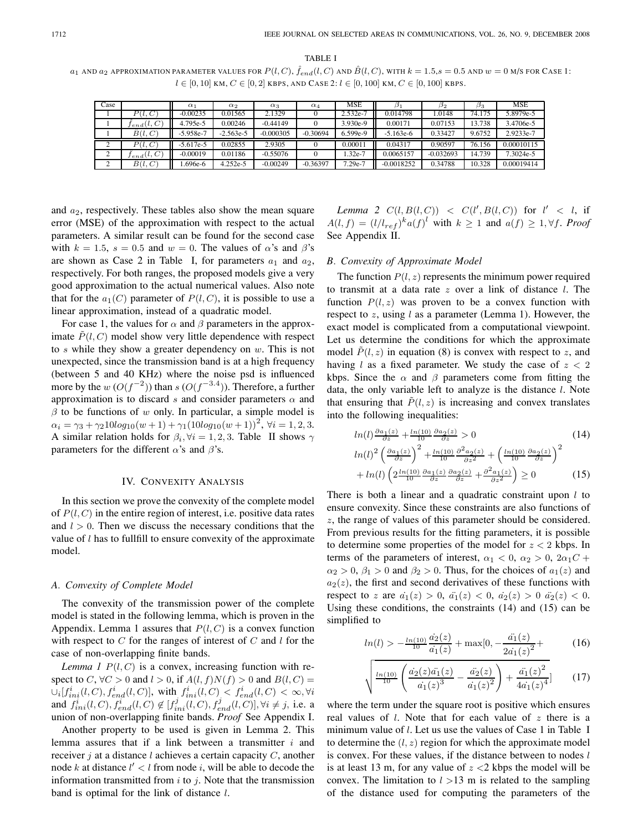TABLE I  $a_1$  AND  $a_2$  APPROXIMATION PARAMETER VALUES FOR  $P(l, C)$ ,  $\hat{f}_{end}(l, C)$  AND  $\hat{B}(l, C)$ , WITH  $k = 1.5$ ,  $s = 0.5$  AND  $w = 0$  M/S FOR CASE 1:  $l \in [0, 10]$  km,  $C \in [0, 2]$  kbps, and Case 2:  $l \in [0, 100]$  km,  $C \in [0, 100]$  kbps.

| Case |                        | $\alpha_1$  | $\alpha_2$  | $\alpha_3$  | $\alpha_4$ | <b>MSE</b> |              | 132         | Pз     | <b>MSE</b> |
|------|------------------------|-------------|-------------|-------------|------------|------------|--------------|-------------|--------|------------|
|      | P(l,C                  | $-0.00235$  | 0.01565     | 2.1329      |            | 2.532e-7   | 0.014798     | .0148       | 74.175 | 5.8979e-5  |
|      | $\tilde{C}_{end}(l,C)$ | 4.795e-5    | 0.00246     | $-0.44149$  |            | 3.930e-9   | 0.00171      | 0.07153     | 3.738  | 3.4706e-5  |
|      | $\ddot{B}(l, C)$       | $-5.958e-7$ | $-2.563e-5$ | $-0.000305$ | $-0.30694$ | 6.599e-9   | $-5.163e-6$  | 0.33427     | 9.6752 | 2.9233e-7  |
|      | P(l,C                  | $-5.617e-5$ | 0.02855     | 2.9305      |            | 0.00011    | 0.04317      | 0.90597     | 76.156 | 0.00010115 |
|      | $f_{end}(l, C)$        | $-0.00019$  | 0.01186     | $-0.55076$  |            | $1.32e-7$  | 0.0065157    | $-0.032693$ | 14.739 | 7.3024e-5  |
|      | B(l, C)                | .696e-6     | 4.252e-5    | $-0.00249$  | $-0.36397$ | 7.29e-7    | $-0.0018252$ | 0.34788     | 10.328 | 0.00019414 |

and  $a_2$ , respectively. These tables also show the mean square error (MSE) of the approximation with respect to the actual parameters. A similar result can be found for the second case with  $k = 1.5$ ,  $s = 0.5$  and  $w = 0$ . The values of  $\alpha$ 's and  $\beta$ 's are shown as Case 2 in Table I, for parameters  $a_1$  and  $a_2$ , respectively. For both ranges, the proposed models give a very good approximation to the actual numerical values. Also note that for the  $a_1(C)$  parameter of  $P(l, C)$ , it is possible to use a linear approximation, instead of a quadratic model.

For case 1, the values for  $\alpha$  and  $\beta$  parameters in the approximate  $P(l, C)$  model show very little dependence with respect to  $s$  while they show a greater dependency on  $w$ . This is not unexpected, since the transmission band is at a high frequency (between 5 and 40 KHz) where the noise psd is influenced more by the  $w(O(f^{-2}))$  than  $s(O(f^{-3.4}))$ . Therefore, a further approximation is to discard s and consider parameters  $\alpha$  and  $\beta$  to be functions of w only. In particular, a simple model is  $\alpha_i = \gamma_3 + \gamma_2 10 \log_{10}(w+1) + \gamma_1 (10 \log_{10}(w+1))^2$ ,  $\forall i = 1, 2, 3$ . A similar relation holds for  $\beta_i$ ,  $\forall i = 1, 2, 3$ . Table II shows  $\gamma$ parameters for the different  $\alpha$ 's and  $\beta$ 's.

#### IV. CONVEXITY ANALYSIS

In this section we prove the convexity of the complete model of  $P(l, C)$  in the entire region of interest, i.e. positive data rates and  $l > 0$ . Then we discuss the necessary conditions that the value of  $l$  has to fullfill to ensure convexity of the approximate model.

#### *A. Convexity of Complete Model*

The convexity of the transmission power of the complete model is stated in the following lemma, which is proven in the Appendix. Lemma 1 assures that  $P(l, C)$  is a convex function with respect to  $C$  for the ranges of interest of  $C$  and  $l$  for the case of non-overlapping finite bands.

*Lemma 1*  $P(l, C)$  is a convex, increasing function with respect to C,  $\forall C > 0$  and  $l > 0$ , if  $A(l, f)N(f) > 0$  and  $B(l, C) =$  $\bigcup_i [f_{ini}^i(l, C), f_{end}^i(l, C)]$ , with  $f_{ini}^i(l, C) < f_{end}^i(l, C) < \infty$ ,  $\forall i$ and  $f_{ini}^{i}(l, C), f_{end}^{i}(l, C) \notin [f_{ini}^{j}(l, C), f_{end}^{j}(l, C)]$ ,  $\forall i \neq j$ , i.e. a union of non-overlapping finite bands. *Proof* See Appendix I.

Another property to be used is given in Lemma 2. This lemma assures that if a link between a transmitter  $i$  and receiver  $j$  at a distance l achieves a certain capacity  $C$ , another node k at distance  $l' < l$  from node i, will be able to decode the information transmitted from  $i$  to  $j$ . Note that the transmission band is optimal for the link of distance  $l$ .

*Lemma 2*  $C(l, B(l, C)) < C(l', B(l, C))$  for  $l' < l$ , if  $A(l, f) = (l/l_{ref})^k a(f)^l$  with  $k \ge 1$  and  $a(f) \ge 1, \forall f$ . *Proof* See Appendix II.

## *B. Convexity of Approximate Model*

The function  $P(l, z)$  represents the minimum power required to transmit at a data rate  $z$  over a link of distance  $l$ . The function  $P(l, z)$  was proven to be a convex function with respect to z, using  $l$  as a parameter (Lemma 1). However, the exact model is complicated from a computational viewpoint. Let us determine the conditions for which the approximate model  $\tilde{P}(l, z)$  in equation (8) is convex with respect to z, and having l as a fixed parameter. We study the case of  $z < 2$ kbps. Since the  $\alpha$  and  $\beta$  parameters come from fitting the data, the only variable left to analyze is the distance l. Note that ensuring that  $\tilde{P}(l, z)$  is increasing and convex translates into the following inequalities:

$$
ln(l) \frac{\partial a_1(z)}{\partial z} + \frac{\ln(10)}{10} \frac{\partial a_2(z)}{\partial z} > 0
$$
\n
$$
ln(l)^2 \left(\frac{\partial a_1(z)}{\partial z}\right)^2 + \frac{\ln(10)}{10} \frac{\partial^2 a_2(z)}{\partial z^2} + \left(\frac{\ln(10)}{10} \frac{\partial a_2(z)}{\partial z}\right)^2
$$
\n
$$
+ ln(l) \left(2 \frac{\ln(10)}{10} \frac{\partial a_1(z)}{\partial z} \frac{\partial a_2(z)}{\partial z} + \frac{\partial^2 a_1(z)}{\partial z^2}\right) \ge 0
$$
\n(15)

There is both a linear and a quadratic constraint upon  $l$  to ensure convexity. Since these constraints are also functions of z, the range of values of this parameter should be considered. From previous results for the fitting parameters, it is possible to determine some properties of the model for  $z < 2$  kbps. In terms of the parameters of interest,  $\alpha_1 < 0$ ,  $\alpha_2 > 0$ ,  $2\alpha_1 C +$  $\alpha_2 > 0$ ,  $\beta_1 > 0$  and  $\beta_2 > 0$ . Thus, for the choices of  $a_1(z)$  and  $a_2(z)$ , the first and second derivatives of these functions with respect to z are  $a_1(z) > 0$ ,  $a_1(z) < 0$ ,  $a_2(z) > 0$ ,  $a_2(z) < 0$ . Using these conditions, the constraints (14) and (15) can be simplified to

$$
ln(l) > -\frac{ln(10)}{10} \frac{\dot{a_2}(z)}{\dot{a_1}(z)} + \max[0, -\frac{\ddot{a_1}(z)}{2\dot{a_1}(z)^2} + \tag{16}
$$

$$
\sqrt{\frac{\ln(10)}{10} \left( \frac{\dot{a_2}(z)\ddot{a_1}(z)}{\dot{a_1}(z)^3} - \frac{\ddot{a_2}(z)}{\dot{a_1}(z)^2} \right) + \frac{\ddot{a_1}(z)^2}{4\dot{a_1}(z)^4}} \tag{17}
$$

where the term under the square root is positive which ensures real values of  $l$ . Note that for each value of  $z$  there is a minimum value of *l*. Let us use the values of Case 1 in Table I to determine the  $(l, z)$  region for which the approximate model is convex. For these values, if the distance between to nodes  $l$ is at least 13 m, for any value of  $z < 2$  kbps the model will be convex. The limitation to  $l > 13$  m is related to the sampling of the distance used for computing the parameters of the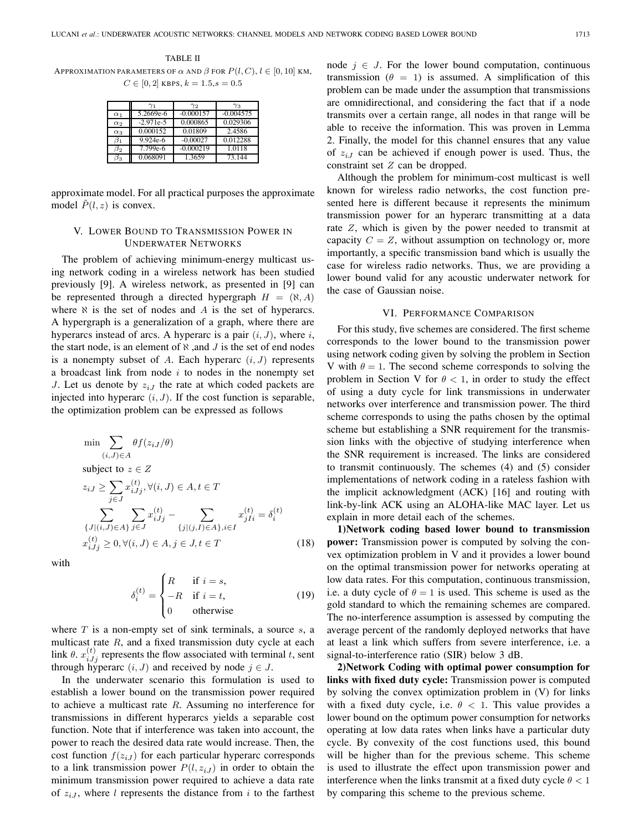TABLE II APPROXIMATION PARAMETERS OF  $\alpha$  AND  $\beta$  FOR  $P(l, C)$ ,  $l \in [0, 10]$  KM,  $C \in [0, 2]$  KBPS,  $k = 1.5$ ,  $s = 0.5$ 

|            | $\gamma_1$  | $\gamma_2$  | $_{\gamma_3}$ |
|------------|-------------|-------------|---------------|
| $\alpha_1$ | 5.2669e-6   | $-0.000157$ | $-0.004575$   |
| $\alpha_2$ | $-2.971e-5$ | 0.000865    | 0.029306      |
| $\alpha_3$ | 0.000152    | 0.01809     | 2.4586        |
| $\beta_1$  | $9.924e-6$  | $-0.00027$  | 0.012288      |
| $\beta_2$  | 7.799e-6    | $-0.000219$ | 1.0118        |
| в3         | 0.068091    | 1.3659      | 73.144        |

approximate model. For all practical purposes the approximate model  $\tilde{P}(l, z)$  is convex.

# V. LOWER BOUND TO TRANSMISSION POWER IN UNDERWATER NETWORKS

The problem of achieving minimum-energy multicast using network coding in a wireless network has been studied previously [9]. A wireless network, as presented in [9] can be represented through a directed hypergraph  $H = (\aleph, A)$ where  $\aleph$  is the set of nodes and A is the set of hyperarcs. A hypergraph is a generalization of a graph, where there are hyperarcs instead of arcs. A hyperarc is a pair  $(i, J)$ , where  $i$ , the start node, is an element of  $\aleph$ , and  $J$  is the set of end nodes is a nonempty subset of A. Each hyperarc  $(i, J)$  represents a broadcast link from node  $i$  to nodes in the nonempty set J. Let us denote by  $z_{iJ}$  the rate at which coded packets are injected into hyperarc  $(i, J)$ . If the cost function is separable, the optimization problem can be expressed as follows

$$
\min \sum_{(i,J)\in A} \theta f(z_{iJ}/\theta)
$$
\n
$$
\text{subject to } z \in Z
$$
\n
$$
z_{iJ} \ge \sum_{j\in J} x_{iJj}^{(t)}, \forall (i,J) \in A, t \in T
$$
\n
$$
\sum_{\{J|(i,J)\in A\}} \sum_{j\in J} x_{iJj}^{(t)} - \sum_{\{j|(j,I)\in A\}, i\in I} x_{jIi}^{(t)} = \delta_i^{(t)}
$$
\n
$$
x_{iJj}^{(t)} \ge 0, \forall (i,J) \in A, j \in J, t \in T
$$
\n(18)

with

$$
\delta_i^{(t)} = \begin{cases}\nR & \text{if } i = s, \\
-R & \text{if } i = t, \\
0 & \text{otherwise}\n\end{cases}
$$
\n(19)

where  $T$  is a non-empty set of sink terminals, a source  $s$ , a multicast rate  $R$ , and a fixed transmission duty cycle at each link  $\theta$ .  $x_{i,j}^{(t)}$  represents the flow associated with terminal t, sent through hyperarc  $(i, J)$  and received by node  $j \in J$ .

In the underwater scenario this formulation is used to establish a lower bound on the transmission power required to achieve a multicast rate  $R$ . Assuming no interference for transmissions in different hyperarcs yields a separable cost function. Note that if interference was taken into account, the power to reach the desired data rate would increase. Then, the cost function  $f(z_{iJ})$  for each particular hyperarc corresponds to a link transmission power  $P(l, z_{iJ})$  in order to obtain the minimum transmission power required to achieve a data rate of  $z_{i,j}$ , where l represents the distance from i to the farthest node  $j \in J$ . For the lower bound computation, continuous transmission ( $\theta = 1$ ) is assumed. A simplification of this problem can be made under the assumption that transmissions are omnidirectional, and considering the fact that if a node transmits over a certain range, all nodes in that range will be able to receive the information. This was proven in Lemma 2. Finally, the model for this channel ensures that any value of  $z_{iJ}$  can be achieved if enough power is used. Thus, the constraint set Z can be dropped.

Although the problem for minimum-cost multicast is well known for wireless radio networks, the cost function presented here is different because it represents the minimum transmission power for an hyperarc transmitting at a data rate Z, which is given by the power needed to transmit at capacity  $C = Z$ , without assumption on technology or, more importantly, a specific transmission band which is usually the case for wireless radio networks. Thus, we are providing a lower bound valid for any acoustic underwater network for the case of Gaussian noise.

### VI. PERFORMANCE COMPARISON

For this study, five schemes are considered. The first scheme corresponds to the lower bound to the transmission power using network coding given by solving the problem in Section V with  $\theta = 1$ . The second scheme corresponds to solving the problem in Section V for  $\theta < 1$ , in order to study the effect of using a duty cycle for link transmissions in underwater networks over interference and transmission power. The third scheme corresponds to using the paths chosen by the optimal scheme but establishing a SNR requirement for the transmission links with the objective of studying interference when the SNR requirement is increased. The links are considered to transmit continuously. The schemes (4) and (5) consider implementations of network coding in a rateless fashion with the implicit acknowledgment (ACK) [16] and routing with link-by-link ACK using an ALOHA-like MAC layer. Let us explain in more detail each of the schemes.

**1)Network coding based lower bound to transmission power:** Transmission power is computed by solving the convex optimization problem in V and it provides a lower bound on the optimal transmission power for networks operating at low data rates. For this computation, continuous transmission, i.e. a duty cycle of  $\theta = 1$  is used. This scheme is used as the gold standard to which the remaining schemes are compared. The no-interference assumption is assessed by computing the average percent of the randomly deployed networks that have at least a link which suffers from severe interference, i.e. a signal-to-interference ratio (SIR) below 3 dB.

**2)Network Coding with optimal power consumption for links with fixed duty cycle:** Transmission power is computed by solving the convex optimization problem in (V) for links with a fixed duty cycle, i.e.  $\theta$  < 1. This value provides a lower bound on the optimum power consumption for networks operating at low data rates when links have a particular duty cycle. By convexity of the cost functions used, this bound will be higher than for the previous scheme. This scheme is used to illustrate the effect upon transmission power and interference when the links transmit at a fixed duty cycle  $\theta$  < 1 by comparing this scheme to the previous scheme.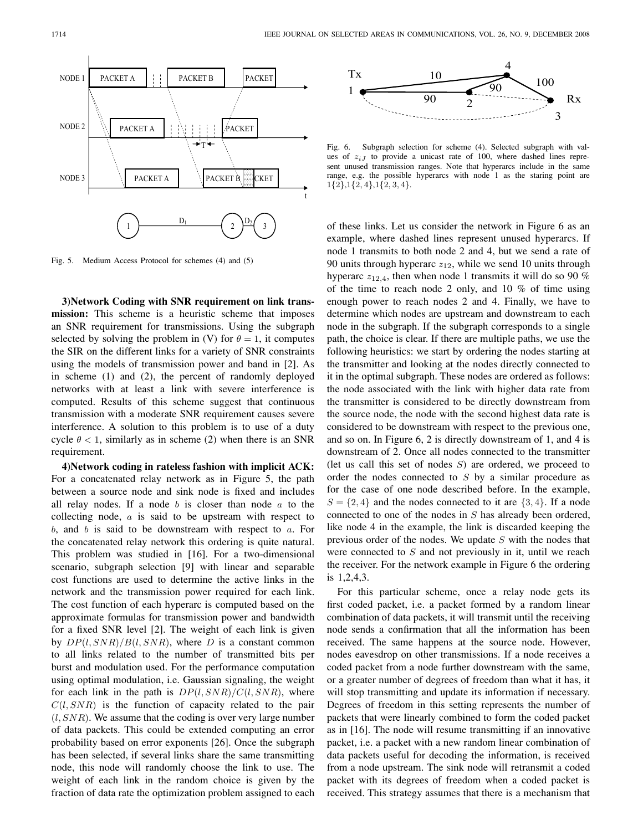

Fig. 5. Medium Access Protocol for schemes (4) and (5)

**3)Network Coding with SNR requirement on link transmission:** This scheme is a heuristic scheme that imposes an SNR requirement for transmissions. Using the subgraph selected by solving the problem in (V) for  $\theta = 1$ , it computes the SIR on the different links for a variety of SNR constraints using the models of transmission power and band in [2]. As in scheme (1) and (2), the percent of randomly deployed networks with at least a link with severe interference is computed. Results of this scheme suggest that continuous transmission with a moderate SNR requirement causes severe interference. A solution to this problem is to use of a duty cycle  $\theta$  < 1, similarly as in scheme (2) when there is an SNR requirement.

**4)Network coding in rateless fashion with implicit ACK:** For a concatenated relay network as in Figure 5, the path between a source node and sink node is fixed and includes all relay nodes. If a node  $b$  is closer than node  $a$  to the collecting node, a is said to be upstream with respect to  $b$ , and  $b$  is said to be downstream with respect to  $a$ . For the concatenated relay network this ordering is quite natural. This problem was studied in [16]. For a two-dimensional scenario, subgraph selection [9] with linear and separable cost functions are used to determine the active links in the network and the transmission power required for each link. The cost function of each hyperarc is computed based on the approximate formulas for transmission power and bandwidth for a fixed SNR level [2]. The weight of each link is given by  $DP(l, SNR)/B(l, SNR)$ , where D is a constant common to all links related to the number of transmitted bits per burst and modulation used. For the performance computation using optimal modulation, i.e. Gaussian signaling, the weight for each link in the path is  $DP(l, SNR)/C(l, SNR)$ , where  $C(l, SNR)$  is the function of capacity related to the pair  $(l, SNR)$ . We assume that the coding is over very large number of data packets. This could be extended computing an error probability based on error exponents [26]. Once the subgraph has been selected, if several links share the same transmitting node, this node will randomly choose the link to use. The weight of each link in the random choice is given by the fraction of data rate the optimization problem assigned to each



Fig. 6. Subgraph selection for scheme (4). Selected subgraph with values of  $z_{iJ}$  to provide a unicast rate of 100, where dashed lines represent unused transmission ranges. Note that hyperarcs include in the same range, e.g. the possible hyperarcs with node 1 as the staring point are 1{2},1{2, 4},1{2, 3, 4}.

of these links. Let us consider the network in Figure 6 as an example, where dashed lines represent unused hyperarcs. If node 1 transmits to both node 2 and 4, but we send a rate of 90 units through hyperarc  $z_{12}$ , while we send 10 units through hyperarc  $z_{12,4}$ , then when node 1 transmits it will do so 90 % of the time to reach node 2 only, and 10 % of time using enough power to reach nodes 2 and 4. Finally, we have to determine which nodes are upstream and downstream to each node in the subgraph. If the subgraph corresponds to a single path, the choice is clear. If there are multiple paths, we use the following heuristics: we start by ordering the nodes starting at the transmitter and looking at the nodes directly connected to it in the optimal subgraph. These nodes are ordered as follows: the node associated with the link with higher data rate from the transmitter is considered to be directly downstream from the source node, the node with the second highest data rate is considered to be downstream with respect to the previous one, and so on. In Figure 6, 2 is directly downstream of 1, and 4 is downstream of 2. Once all nodes connected to the transmitter (let us call this set of nodes  $S$ ) are ordered, we proceed to order the nodes connected to  $S$  by a similar procedure as for the case of one node described before. In the example,  $S = \{2, 4\}$  and the nodes connected to it are  $\{3, 4\}$ . If a node connected to one of the nodes in S has already been ordered, like node 4 in the example, the link is discarded keeping the previous order of the nodes. We update S with the nodes that were connected to  $S$  and not previously in it, until we reach the receiver. For the network example in Figure 6 the ordering is 1,2,4,3.

For this particular scheme, once a relay node gets its first coded packet, i.e. a packet formed by a random linear combination of data packets, it will transmit until the receiving node sends a confirmation that all the information has been received. The same happens at the source node. However, nodes eavesdrop on other transmissions. If a node receives a coded packet from a node further downstream with the same, or a greater number of degrees of freedom than what it has, it will stop transmitting and update its information if necessary. Degrees of freedom in this setting represents the number of packets that were linearly combined to form the coded packet as in [16]. The node will resume transmitting if an innovative packet, i.e. a packet with a new random linear combination of data packets useful for decoding the information, is received from a node upstream. The sink node will retransmit a coded packet with its degrees of freedom when a coded packet is received. This strategy assumes that there is a mechanism that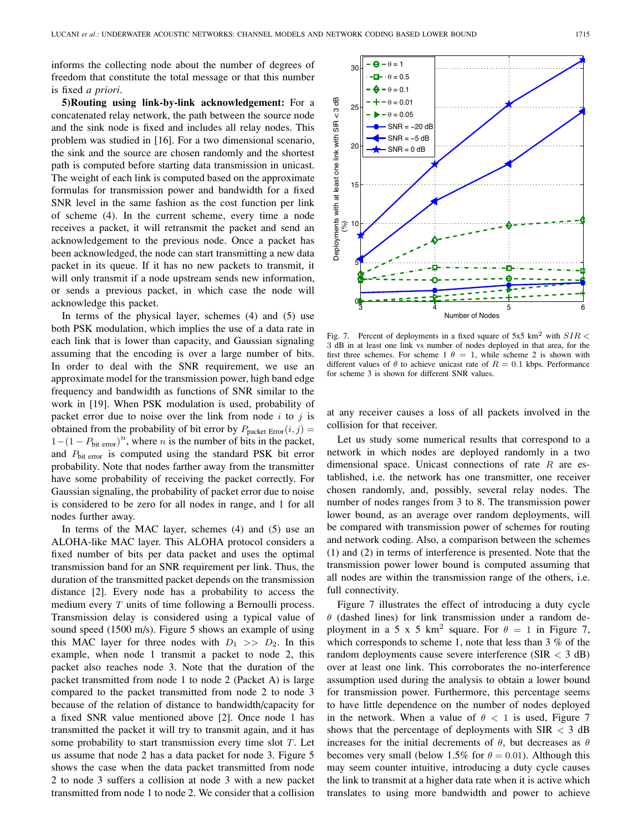informs the collecting node about the number of degrees of freedom that constitute the total message or that this number is fixed *a priori*.

**5)Routing using link-by-link acknowledgement:** For a concatenated relay network, the path between the source node and the sink node is fixed and includes all relay nodes. This problem was studied in [16]. For a two dimensional scenario, the sink and the source are chosen randomly and the shortest path is computed before starting data transmission in unicast. The weight of each link is computed based on the approximate formulas for transmission power and bandwidth for a fixed SNR level in the same fashion as the cost function per link of scheme (4). In the current scheme, every time a node receives a packet, it will retransmit the packet and send an acknowledgement to the previous node. Once a packet has been acknowledged, the node can start transmitting a new data packet in its queue. If it has no new packets to transmit, it will only transmit if a node upstream sends new information, or sends a previous packet, in which case the node will acknowledge this packet.

In terms of the physical layer, schemes (4) and (5) use both PSK modulation, which implies the use of a data rate in each link that is lower than capacity, and Gaussian signaling assuming that the encoding is over a large number of bits. In order to deal with the SNR requirement, we use an approximate model for the transmission power, high band edge frequency and bandwidth as functions of SNR similar to the work in [19]. When PSK modulation is used, probability of packet error due to noise over the link from node  $i$  to  $j$  is obtained from the probability of bit error by  $P_{\text{packet Error}}(i, j) =$  $1-(1 - P_{\text{bit error}})^n$ , where *n* is the number of bits in the packet, and  $P_{\text{bit error}}$  is computed using the standard PSK bit error probability. Note that nodes farther away from the transmitter have some probability of receiving the packet correctly. For Gaussian signaling, the probability of packet error due to noise is considered to be zero for all nodes in range, and 1 for all nodes further away.

In terms of the MAC layer, schemes (4) and (5) use an ALOHA-like MAC layer. This ALOHA protocol considers a fixed number of bits per data packet and uses the optimal transmission band for an SNR requirement per link. Thus, the duration of the transmitted packet depends on the transmission distance [2]. Every node has a probability to access the medium every  $T$  units of time following a Bernoulli process. Transmission delay is considered using a typical value of sound speed (1500 m/s). Figure 5 shows an example of using this MAC layer for three nodes with  $D_1 >> D_2$ . In this example, when node 1 transmit a packet to node 2, this packet also reaches node 3. Note that the duration of the packet transmitted from node 1 to node 2 (Packet A) is large compared to the packet transmitted from node 2 to node 3 because of the relation of distance to bandwidth/capacity for a fixed SNR value mentioned above [2]. Once node 1 has transmitted the packet it will try to transmit again, and it has some probability to start transmission every time slot  $T$ . Let us assume that node 2 has a data packet for node 3. Figure 5 shows the case when the data packet transmitted from node 2 to node 3 suffers a collision at node 3 with a new packet transmitted from node 1 to node 2. We consider that a collision



Fig. 7. Percent of deployments in a fixed square of  $5x5 \text{ km}^2$  with  $SIR <$ 3 dB in at least one link vs number of nodes deployed in that area, for the first three schemes. For scheme 1  $\theta = 1$ , while scheme 2 is shown with different values of  $\theta$  to achieve unicast rate of  $R = 0.1$  kbps. Performance for scheme 3 is shown for different SNR values.

at any receiver causes a loss of all packets involved in the collision for that receiver.

Let us study some numerical results that correspond to a network in which nodes are deployed randomly in a two dimensional space. Unicast connections of rate  $R$  are established, i.e. the network has one transmitter, one receiver chosen randomly, and, possibly, several relay nodes. The number of nodes ranges from 3 to 8. The transmission power lower bound, as an average over random deployments, will be compared with transmission power of schemes for routing and network coding. Also, a comparison between the schemes (1) and (2) in terms of interference is presented. Note that the transmission power lower bound is computed assuming that all nodes are within the transmission range of the others, i.e. full connectivity.

Figure 7 illustrates the effect of introducing a duty cycle  $\theta$  (dashed lines) for link transmission under a random deployment in a 5 x 5 km<sup>2</sup> square. For  $\theta = 1$  in Figure 7, which corresponds to scheme 1, note that less than  $3\%$  of the random deployments cause severe interference (SIR < 3 dB) over at least one link. This corroborates the no-interference assumption used during the analysis to obtain a lower bound for transmission power. Furthermore, this percentage seems to have little dependence on the number of nodes deployed in the network. When a value of  $\theta < 1$  is used, Figure 7 shows that the percentage of deployments with  $SIR < 3$  dB increases for the initial decrements of  $\theta$ , but decreases as  $\theta$ becomes very small (below 1.5% for  $\theta = 0.01$ ). Although this may seem counter intuitive, introducing a duty cycle causes the link to transmit at a higher data rate when it is active which translates to using more bandwidth and power to achieve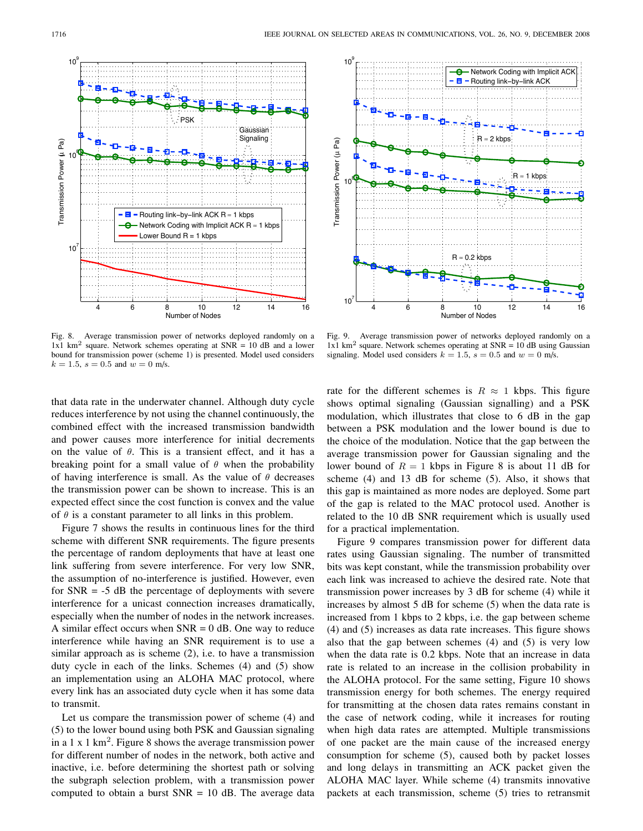

Fig. 8. Average transmission power of networks deployed randomly on a  $1x1$  km<sup>2</sup> square. Network schemes operating at SNR = 10 dB and a lower bound for transmission power (scheme 1) is presented. Model used considers  $k = 1.5$ ,  $s = 0.5$  and  $w = 0$  m/s.

that data rate in the underwater channel. Although duty cycle reduces interference by not using the channel continuously, the combined effect with the increased transmission bandwidth and power causes more interference for initial decrements on the value of  $\theta$ . This is a transient effect, and it has a breaking point for a small value of  $\theta$  when the probability of having interference is small. As the value of  $\theta$  decreases the transmission power can be shown to increase. This is an expected effect since the cost function is convex and the value of  $\theta$  is a constant parameter to all links in this problem.

Figure 7 shows the results in continuous lines for the third scheme with different SNR requirements. The figure presents the percentage of random deployments that have at least one link suffering from severe interference. For very low SNR, the assumption of no-interference is justified. However, even for  $SNR = -5$  dB the percentage of deployments with severe interference for a unicast connection increases dramatically, especially when the number of nodes in the network increases. A similar effect occurs when  $SNR = 0$  dB. One way to reduce interference while having an SNR requirement is to use a similar approach as is scheme (2), i.e. to have a transmission duty cycle in each of the links. Schemes (4) and (5) show an implementation using an ALOHA MAC protocol, where every link has an associated duty cycle when it has some data to transmit.

Let us compare the transmission power of scheme (4) and (5) to the lower bound using both PSK and Gaussian signaling in a 1 x 1 km<sup>2</sup>. Figure 8 shows the average transmission power for different number of nodes in the network, both active and inactive, i.e. before determining the shortest path or solving the subgraph selection problem, with a transmission power computed to obtain a burst  $SNR = 10$  dB. The average data



Fig. 9. Average transmission power of networks deployed randomly on a  $1x1$  km<sup>2</sup> square. Network schemes operating at SNR = 10 dB using Gaussian signaling. Model used considers  $k = 1.5$ ,  $s = 0.5$  and  $w = 0$  m/s.

rate for the different schemes is  $R \approx 1$  kbps. This figure shows optimal signaling (Gaussian signalling) and a PSK modulation, which illustrates that close to 6 dB in the gap between a PSK modulation and the lower bound is due to the choice of the modulation. Notice that the gap between the average transmission power for Gaussian signaling and the lower bound of  $R = 1$  kbps in Figure 8 is about 11 dB for scheme (4) and 13 dB for scheme (5). Also, it shows that this gap is maintained as more nodes are deployed. Some part of the gap is related to the MAC protocol used. Another is related to the 10 dB SNR requirement which is usually used for a practical implementation.

Figure 9 compares transmission power for different data rates using Gaussian signaling. The number of transmitted bits was kept constant, while the transmission probability over each link was increased to achieve the desired rate. Note that transmission power increases by 3 dB for scheme (4) while it increases by almost 5 dB for scheme (5) when the data rate is increased from 1 kbps to 2 kbps, i.e. the gap between scheme (4) and (5) increases as data rate increases. This figure shows also that the gap between schemes (4) and (5) is very low when the data rate is 0.2 kbps. Note that an increase in data rate is related to an increase in the collision probability in the ALOHA protocol. For the same setting, Figure 10 shows transmission energy for both schemes. The energy required for transmitting at the chosen data rates remains constant in the case of network coding, while it increases for routing when high data rates are attempted. Multiple transmissions of one packet are the main cause of the increased energy consumption for scheme (5), caused both by packet losses and long delays in transmitting an ACK packet given the ALOHA MAC layer. While scheme (4) transmits innovative packets at each transmission, scheme (5) tries to retransmit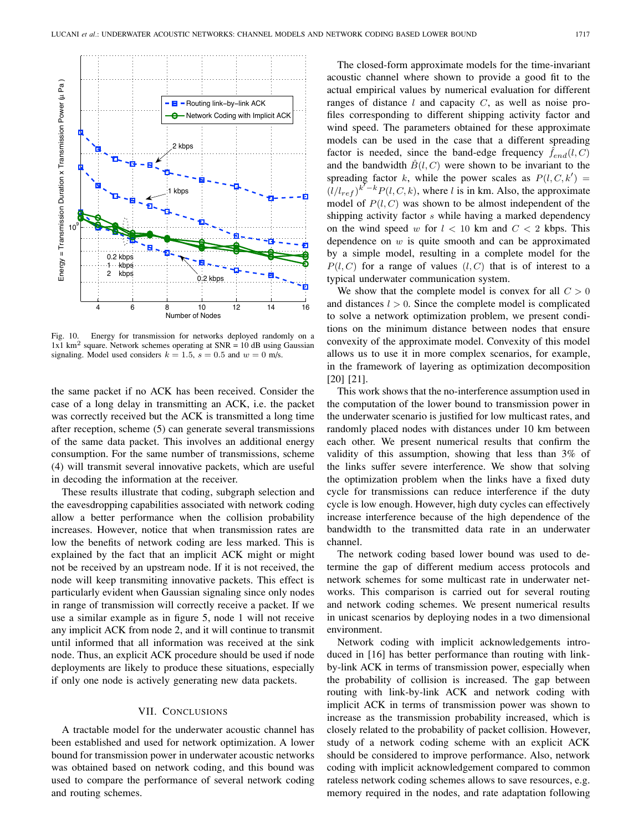

Fig. 10. Energy for transmission for networks deployed randomly on a 1x1 km<sup>2</sup> square. Network schemes operating at  $SNR = 10$  dB using Gaussian signaling. Model used considers  $k = 1.5$ ,  $s = 0.5$  and  $w = 0$  m/s.

the same packet if no ACK has been received. Consider the case of a long delay in transmitting an ACK, i.e. the packet was correctly received but the ACK is transmitted a long time after reception, scheme (5) can generate several transmissions of the same data packet. This involves an additional energy consumption. For the same number of transmissions, scheme (4) will transmit several innovative packets, which are useful in decoding the information at the receiver.

These results illustrate that coding, subgraph selection and the eavesdropping capabilities associated with network coding allow a better performance when the collision probability increases. However, notice that when transmission rates are low the benefits of network coding are less marked. This is explained by the fact that an implicit ACK might or might not be received by an upstream node. If it is not received, the node will keep transmiting innovative packets. This effect is particularly evident when Gaussian signaling since only nodes in range of transmission will correctly receive a packet. If we use a similar example as in figure 5, node 1 will not receive any implicit ACK from node 2, and it will continue to transmit until informed that all information was received at the sink node. Thus, an explicit ACK procedure should be used if node deployments are likely to produce these situations, especially if only one node is actively generating new data packets.

#### VII. CONCLUSIONS

A tractable model for the underwater acoustic channel has been established and used for network optimization. A lower bound for transmission power in underwater acoustic networks was obtained based on network coding, and this bound was used to compare the performance of several network coding and routing schemes.

The closed-form approximate models for the time-invariant acoustic channel where shown to provide a good fit to the actual empirical values by numerical evaluation for different ranges of distance  $l$  and capacity  $C$ , as well as noise profiles corresponding to different shipping activity factor and wind speed. The parameters obtained for these approximate models can be used in the case that a different spreading factor is needed, since the band-edge frequency  $\hat{f}_{end}(l, C)$ and the bandwidth  $\hat{B}(l, C)$  were shown to be invariant to the spreading factor k, while the power scales as  $P(l, C, k') =$  $(l/l_{ref})^{k-k}P(l, C, k)$ , where l is in km. Also, the approximate model of  $P(l, C)$  was shown to be almost independent of the shipping activity factor s while having a marked dependency on the wind speed w for  $l < 10$  km and  $C < 2$  kbps. This dependence on  $w$  is quite smooth and can be approximated by a simple model, resulting in a complete model for the  $P(l, C)$  for a range of values  $(l, C)$  that is of interest to a typical underwater communication system.

We show that the complete model is convex for all  $C > 0$ and distances  $l > 0$ . Since the complete model is complicated to solve a network optimization problem, we present conditions on the minimum distance between nodes that ensure convexity of the approximate model. Convexity of this model allows us to use it in more complex scenarios, for example, in the framework of layering as optimization decomposition [20] [21].

This work shows that the no-interference assumption used in the computation of the lower bound to transmission power in the underwater scenario is justified for low multicast rates, and randomly placed nodes with distances under 10 km between each other. We present numerical results that confirm the validity of this assumption, showing that less than 3% of the links suffer severe interference. We show that solving the optimization problem when the links have a fixed duty cycle for transmissions can reduce interference if the duty cycle is low enough. However, high duty cycles can effectively increase interference because of the high dependence of the bandwidth to the transmitted data rate in an underwater channel.

The network coding based lower bound was used to determine the gap of different medium access protocols and network schemes for some multicast rate in underwater networks. This comparison is carried out for several routing and network coding schemes. We present numerical results in unicast scenarios by deploying nodes in a two dimensional environment.

Network coding with implicit acknowledgements introduced in [16] has better performance than routing with linkby-link ACK in terms of transmission power, especially when the probability of collision is increased. The gap between routing with link-by-link ACK and network coding with implicit ACK in terms of transmission power was shown to increase as the transmission probability increased, which is closely related to the probability of packet collision. However, study of a network coding scheme with an explicit ACK should be considered to improve performance. Also, network coding with implicit acknowledgement compared to common rateless network coding schemes allows to save resources, e.g. memory required in the nodes, and rate adaptation following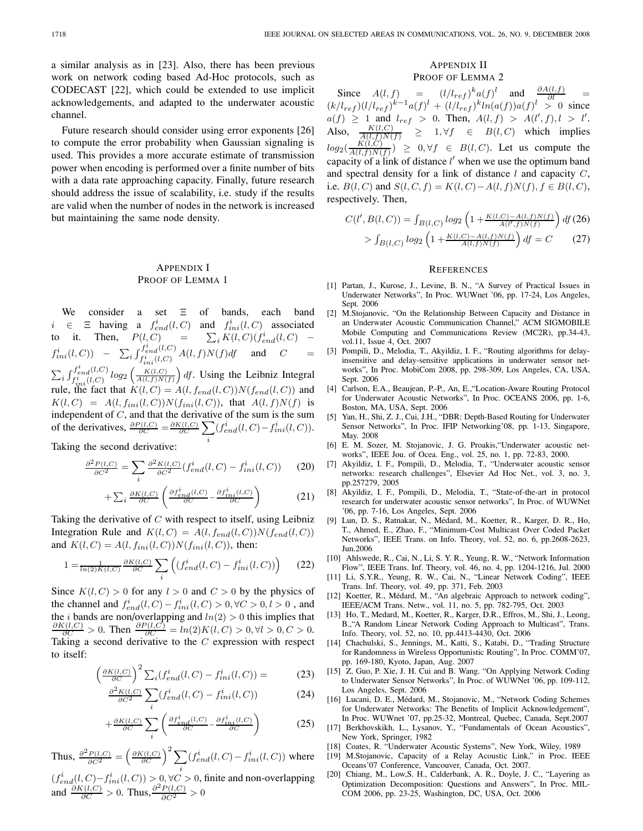a similar analysis as in [23]. Also, there has been previous work on network coding based Ad-Hoc protocols, such as CODECAST [22], which could be extended to use implicit acknowledgements, and adapted to the underwater acoustic channel.

Future research should consider using error exponents [26] to compute the error probability when Gaussian signaling is used. This provides a more accurate estimate of transmission power when encoding is performed over a finite number of bits with a data rate approaching capacity. Finally, future research should address the issue of scalability, i.e. study if the results are valid when the number of nodes in the network is increased but maintaining the same node density.

# APPENDIX I PROOF OF LEMMA 1

We consider a set Ξ of bands, each band  $i \in \Xi$  having a  $f_{end}^i(l, C)$  and  $f_{ini}^i(l, C)$  associated to it. Then,  $P(l, C)$  =  $\sum_i K(l, C)(f_{end}^i(l, C)$  –  $f_{ini}^i(l, C)$  -  $\sum_i \int_{f_{ini}^i(l, C)}^{f_{end}^i(l, C)} A(l, f) N(f) df$  and  $C$  =  $\sum_i \int_{f_{ini}^i(l,C)}^{f_{end}^i(l,C)} log_2\left(\frac{K(l,C)}{A(l,f)N(f)}\right) df$ . Using the Leibniz Integral rule, the fact that  $K(l, C) = A(l, f_{end}(l, C))N(f_{end}(l, C))$  and  $K(l, C) = A(l, f_{ini}(l, C))N(f_{ini}(l, C)),$  that  $A(l, f)N(f)$  is independent of  $C$ , and that the derivative of the sum is the sum of the derivatives,  $\frac{\partial P(l,C)}{\partial C} = \frac{\partial K(l,C)}{\partial C} \sum$ i  $(f_{end}^i(l, C) - f_{ini}^i(l, C)).$ 

Taking the second derivative:

$$
\frac{\partial^2 P(l, C)}{\partial C^2} = \sum_i \frac{\partial^2 K(l, C)}{\partial C^2} (f_{end}^i(l, C) - f_{ini}^i(l, C)) \tag{20}
$$

$$
+\sum_{i}\frac{\partial K(l,C)}{\partial C}\left(\frac{\partial f_{end}^{i}(l,C)}{\partial C}-\frac{\partial f_{ini}^{i}(l,C)}{\partial C}\right) \tag{21}
$$

Taking the derivative of  $C$  with respect to itself, using Leibniz Integration Rule and  $K(l, C) = A(l, f_{end}(l, C))N(f_{end}(l, C))$ and  $K(l, C) = A(l, f_{ini}(l, C))N(f_{ini}(l, C))$ , then:

$$
1 = \frac{1}{\ln(2)K(l,C)} \frac{\partial K(l,C)}{\partial C} \sum_{i} \left( \left( f_{end}^{i}(l,C) - f_{ini}^{i}(l,C) \right) \right) \tag{22}
$$

Since  $K(l, C) > 0$  for any  $l > 0$  and  $C > 0$  by the physics of the channel and  $f_{end}^{i}(l, C) - f_{ini}^{i}(l, C) > 0, \forall C > 0, l > 0$ , and the *i* bands are non/overlapping and  $ln(2) > 0$  this implies that  $\frac{\partial K(l,C)}{\partial C} > 0$ . Then  $\frac{\partial P(l,C)}{\partial C} = ln(2)K(l,C) > 0, \forall l > 0, C > 0$ . Taking a second derivative to the  $C$  expression with respect to itself:

$$
\left(\frac{\partial K(l,C)}{\partial C}\right)^2 \sum_i (f_{end}^i(l,C) - f_{ini}^i(l,C)) = \tag{23}
$$

$$
\frac{\partial^2 K(l, C)}{\partial C^2} \sum_{i} (f_{end}^i(l, C) - f_{ini}^i(l, C))
$$
\n(24)

$$
+\frac{\partial K(l,C)}{\partial C} \sum_{i} \left( \frac{\partial f_{end}^{i}(l,C)}{\partial C} - \frac{\partial f_{ini}^{i}(l,C)}{\partial C} \right) \tag{25}
$$

Thus,  $\frac{\partial^2 P(l, C)}{\partial C^2} = \left(\frac{\partial K(l, C)}{\partial C}\right)^2 \sum$ i  $(f<sub>end</sub><sup>i</sup>(l, C) - f<sub>ini</sub><sup>i</sup>(l, C))$  where

 $(f<sub>end</sub><sup>i</sup>(l, C) - f<sub>ini</sub><sup>i</sup>(l, C)) > 0, \forall C > 0$ , finite and non-overlapping and  $\frac{\partial K(l,C)}{\partial C} > 0$ . Thus,  $\frac{\partial^2 P(l,C)}{\partial C^2} > 0$ 

# APPENDIX II PROOF OF LEMMA 2

Since  $A(l, f) = (l/l_{ref})^k a(f)^l$  and  $\frac{\partial A(l, f)}{\partial l} =$  $(k/l_{ref})$  $(l/l_{ref})^{k-1}$  $a(f)^{l} + (l/l_{ref})^{k}$  $ln(a(f))$  $a(f)^{l} > 0$  since  $a(f) \ge 1$  and  $l_{ref} > 0$ . Then,  $A(l, f) > A(l', f), l > l'$ . Also,  $\frac{K(l,C)}{A(l,f)N(f)} \geq 1, \forall f \in B(l,C)$  which implies  $log_2(\frac{K(l,C)}{A(l,f)N(f)})^{\sim} \geq 0, \forall f \in B(l,C)$ . Let us compute the capacity of a link of distance  $l'$  when we use the optimum band and spectral density for a link of distance  $l$  and capacity  $C$ , i.e.  $B(l, C)$  and  $S(l, C, f) = K(l, C) - A(l, f)N(f), f \in B(l, C)$ , respectively. Then,

$$
C(l', B(l, C)) = \int_{B(l, C)} log_2 \left( 1 + \frac{K(l, C) - A(l, f)N(f)}{A(l', f)N(f)} \right) df(26)
$$
  
> 
$$
\int_{B(l, C)} log_2 \left( 1 + \frac{K(l, C) - A(l, f)N(f)}{A(l, f)N(f)} \right) df = C
$$
 (27)

#### **REFERENCES**

- [1] Partan, J., Kurose, J., Levine, B. N., "A Survey of Practical Issues in Underwater Networks", In Proc. WUWnet '06, pp. 17-24, Los Angeles, Sept. 2006
- [2] M.Stojanovic, "On the Relationship Between Capacity and Distance in an Underwater Acoustic Communication Channel," ACM SIGMOBILE Mobile Computing and Communications Review (MC2R), pp.34-43, vol.11, Issue 4, Oct. 2007
- [3] Pompili, D., Melodia, T., Akyildiz, I. F., "Routing algorithms for delayinsensitive and delay-sensitive applications in underwater sensor networks", In Proc. MobiCom 2008, pp. 298-309, Los Angeles, CA, USA, Sept. 2006
- [4] Carlson, E.A., Beaujean, P.-P., An, E.,"Location-Aware Routing Protocol for Underwater Acoustic Networks", In Proc. OCEANS 2006, pp. 1-6, Boston, MA, USA, Sept. 2006
- [5] Yan, H., Shi, Z. J., Cui, J.H., "DBR: Depth-Based Routing for Underwater Sensor Networks", In Proc. IFIP Networking'08, pp. 1-13, Singapore, May. 2008
- [6] E. M. Sozer, M. Stojanovic, J. G. Proakis,"Underwater acoustic networks", IEEE Jou. of Ocea. Eng., vol. 25, no. 1, pp. 72-83, 2000.
- [7] Akyildiz, I. F., Pompili, D., Melodia, T., "Underwater acoustic sensor networks: research challenges", Elsevier Ad Hoc Net., vol. 3, no. 3, pp.257279, 2005
- [8] Akyildiz, I. F., Pompili, D., Melodia, T., "State-of-the-art in protocol research for underwater acoustic sensor networks", In Proc. of WUWNet '06, pp. 7-16, Los Angeles, Sept. 2006
- [9] Lun, D. S., Ratnakar, N., Médard, M., Koetter, R., Karger, D. R., Ho, T., Ahmed, E., Zhao, F., "Minimum-Cost Multicast Over Coded Packet Networks", IEEE Trans. on Info. Theory, vol. 52, no. 6, pp.2608-2623, Jun.2006
- [10] Ahlswede, R., Cai, N., Li, S. Y. R., Yeung, R. W., "Network Information Flow", IEEE Trans. Inf. Theory, vol. 46, no. 4, pp. 1204-1216, Jul. 2000
- [11] Li, S.Y.R., Yeung, R. W., Cai, N., "Linear Network Coding", IEEE Trans. Inf. Theory, vol. 49, pp. 371, Feb. 2003
- [12] Koetter, R., Médard, M., "An algebraic Approach to network coding", IEEE/ACM Trans. Netw., vol. 11, no. 5, pp. 782-795, Oct. 2003
- [13] Ho, T., Medard, M., Koetter, R., Karger, D.R., Effros, M., Shi, J., Leong, B.,"A Random Linear Network Coding Approach to Multicast", Trans. Info. Theory, vol. 52, no. 10, pp.4413-4430, Oct. 2006
- [14] Chachulski, S., Jennings, M., Katti, S., Katabi, D., "Trading Structure for Randomness in Wireless Opportunistic Routing", In Proc. COMM'07, pp. 169-180, Kyoto, Japan, Aug. 2007
- [15] Z. Guo, P. Xie, J. H. Cui and B. Wang. "On Applying Network Coding to Underwater Sensor Networks", In Proc. of WUWNet '06, pp. 109-112, Los Angeles, Sept. 2006
- [16] Lucani, D. E., Médard, M., Stojanovic, M., "Network Coding Schemes for Underwater Networks: The Benefits of Implicit Acknowledgement", In Proc. WUWnet '07, pp.25-32, Montreal, Quebec, Canada, Sept.2007
- [17] Berkhovskikh, L., Lysanov, Y., "Fundamentals of Ocean Acoustics", New York, Springer, 1982
- [18] Coates, R. "Underwater Acoustic Systems", New York, Wiley, 1989
- [19] M.Stojanovic, Capacity of a Relay Acoustic Link," in Proc. IEEE Oceans'07 Conference, Vancouver, Canada, Oct. 2007.
- [20] Chiang, M., Low,S. H., Calderbank, A. R., Doyle, J. C., "Layering as Optimization Decomposition: Questions and Answers", In Proc. MIL-COM 2006, pp. 23-25, Washington, DC, USA, Oct. 2006